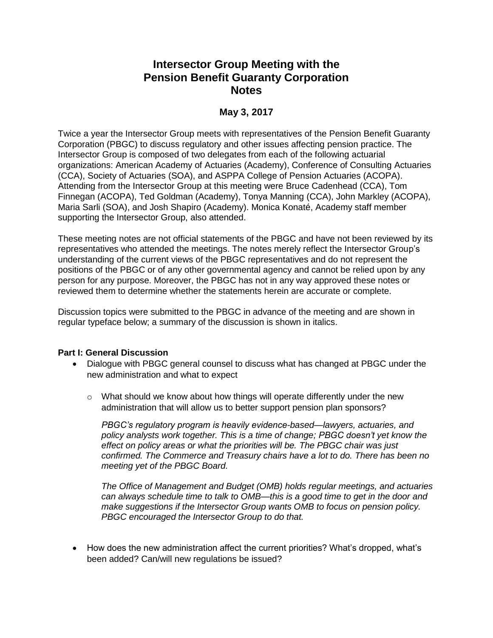# **Intersector Group Meeting with the Pension Benefit Guaranty Corporation Notes**

## **May 3, 2017**

Twice a year the Intersector Group meets with representatives of the Pension Benefit Guaranty Corporation (PBGC) to discuss regulatory and other issues affecting pension practice. The Intersector Group is composed of two delegates from each of the following actuarial organizations: American Academy of Actuaries (Academy), Conference of Consulting Actuaries (CCA), Society of Actuaries (SOA), and ASPPA College of Pension Actuaries (ACOPA). Attending from the Intersector Group at this meeting were Bruce Cadenhead (CCA), Tom Finnegan (ACOPA), Ted Goldman (Academy), Tonya Manning (CCA), John Markley (ACOPA), Maria Sarli (SOA), and Josh Shapiro (Academy). Monica Konaté, Academy staff member supporting the Intersector Group, also attended.

These meeting notes are not official statements of the PBGC and have not been reviewed by its representatives who attended the meetings. The notes merely reflect the Intersector Group's understanding of the current views of the PBGC representatives and do not represent the positions of the PBGC or of any other governmental agency and cannot be relied upon by any person for any purpose. Moreover, the PBGC has not in any way approved these notes or reviewed them to determine whether the statements herein are accurate or complete.

Discussion topics were submitted to the PBGC in advance of the meeting and are shown in regular typeface below; a summary of the discussion is shown in italics.

### **Part I: General Discussion**

- Dialogue with PBGC general counsel to discuss what has changed at PBGC under the new administration and what to expect
	- $\circ$  What should we know about how things will operate differently under the new administration that will allow us to better support pension plan sponsors?

*PBGC's regulatory program is heavily evidence-based—lawyers, actuaries, and policy analysts work together. This is a time of change; PBGC doesn't yet know the effect on policy areas or what the priorities will be. The PBGC chair was just confirmed. The Commerce and Treasury chairs have a lot to do. There has been no meeting yet of the PBGC Board.* 

*The Office of Management and Budget (OMB) holds regular meetings, and actuaries can always schedule time to talk to OMB—this is a good time to get in the door and make suggestions if the Intersector Group wants OMB to focus on pension policy. PBGC encouraged the Intersector Group to do that.* 

 How does the new administration affect the current priorities? What's dropped, what's been added? Can/will new regulations be issued?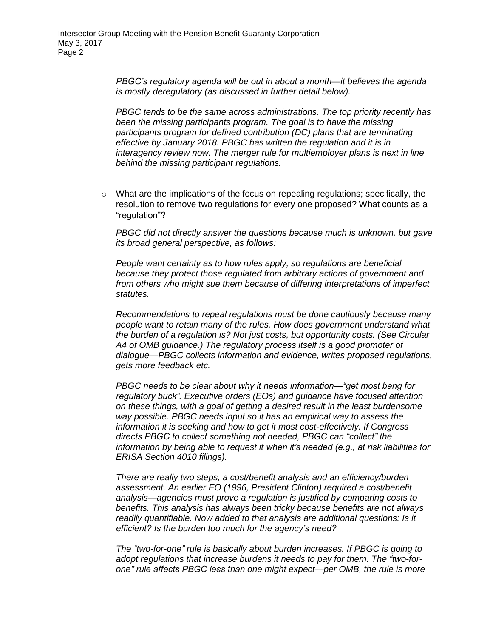*PBGC's regulatory agenda will be out in about a month—it believes the agenda is mostly deregulatory (as discussed in further detail below).*

*PBGC tends to be the same across administrations. The top priority recently has been the missing participants program. The goal is to have the missing participants program for defined contribution (DC) plans that are terminating effective by January 2018. PBGC has written the regulation and it is in interagency review now. The merger rule for multiemployer plans is next in line behind the missing participant regulations.* 

 $\circ$  What are the implications of the focus on repealing regulations; specifically, the resolution to remove two regulations for every one proposed? What counts as a "regulation"?

*PBGC did not directly answer the questions because much is unknown, but gave its broad general perspective, as follows:*

*People want certainty as to how rules apply, so regulations are beneficial because they protect those regulated from arbitrary actions of government and from others who might sue them because of differing interpretations of imperfect statutes.*

*Recommendations to repeal regulations must be done cautiously because many people want to retain many of the rules. How does government understand what the burden of a regulation is? Not just costs, but opportunity costs. (See Circular A4 of OMB guidance.) The regulatory process itself is a good promoter of dialogue—PBGC collects information and evidence, writes proposed regulations, gets more feedback etc.* 

*PBGC needs to be clear about why it needs information—"get most bang for regulatory buck". Executive orders (EOs) and guidance have focused attention on these things, with a goal of getting a desired result in the least burdensome way possible. PBGC needs input so it has an empirical way to assess the information it is seeking and how to get it most cost-effectively. If Congress directs PBGC to collect something not needed, PBGC can "collect" the information by being able to request it when it's needed (e.g., at risk liabilities for ERISA Section 4010 filings).*

*There are really two steps, a cost/benefit analysis and an efficiency/burden assessment. An earlier EO (1996, President Clinton) required a cost/benefit analysis—agencies must prove a regulation is justified by comparing costs to benefits. This analysis has always been tricky because benefits are not always readily quantifiable. Now added to that analysis are additional questions: Is it efficient? Is the burden too much for the agency's need?* 

*The "two-for-one" rule is basically about burden increases. If PBGC is going to adopt regulations that increase burdens it needs to pay for them. The "two-forone" rule affects PBGC less than one might expect—per OMB, the rule is more*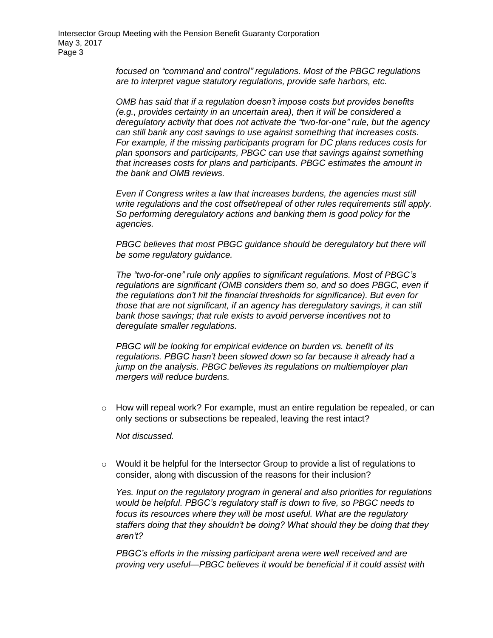*focused on "command and control" regulations. Most of the PBGC regulations are to interpret vague statutory regulations, provide safe harbors, etc.* 

*OMB has said that if a regulation doesn't impose costs but provides benefits (e.g., provides certainty in an uncertain area), then it will be considered a deregulatory activity that does not activate the "two-for-one" rule, but the agency can still bank any cost savings to use against something that increases costs. For example, if the missing participants program for DC plans reduces costs for plan sponsors and participants, PBGC can use that savings against something that increases costs for plans and participants. PBGC estimates the amount in the bank and OMB reviews.* 

*Even if Congress writes a law that increases burdens, the agencies must still write regulations and the cost offset/repeal of other rules requirements still apply. So performing deregulatory actions and banking them is good policy for the agencies.*

*PBGC believes that most PBGC guidance should be deregulatory but there will be some regulatory guidance.*

*The "two-for-one" rule only applies to significant regulations. Most of PBGC's regulations are significant (OMB considers them so, and so does PBGC, even if the regulations don't hit the financial thresholds for significance). But even for those that are not significant, if an agency has deregulatory savings, it can still bank those savings; that rule exists to avoid perverse incentives not to deregulate smaller regulations.*

*PBGC will be looking for empirical evidence on burden vs. benefit of its regulations. PBGC hasn't been slowed down so far because it already had a jump on the analysis. PBGC believes its regulations on multiemployer plan mergers will reduce burdens.*

 $\circ$  How will repeal work? For example, must an entire regulation be repealed, or can only sections or subsections be repealed, leaving the rest intact?

*Not discussed.*

 $\circ$  Would it be helpful for the Intersector Group to provide a list of regulations to consider, along with discussion of the reasons for their inclusion?

*Yes. Input on the regulatory program in general and also priorities for regulations would be helpful. PBGC's regulatory staff is down to five, so PBGC needs to focus its resources where they will be most useful. What are the regulatory staffers doing that they shouldn't be doing? What should they be doing that they aren't?*

*PBGC's efforts in the missing participant arena were well received and are proving very useful—PBGC believes it would be beneficial if it could assist with*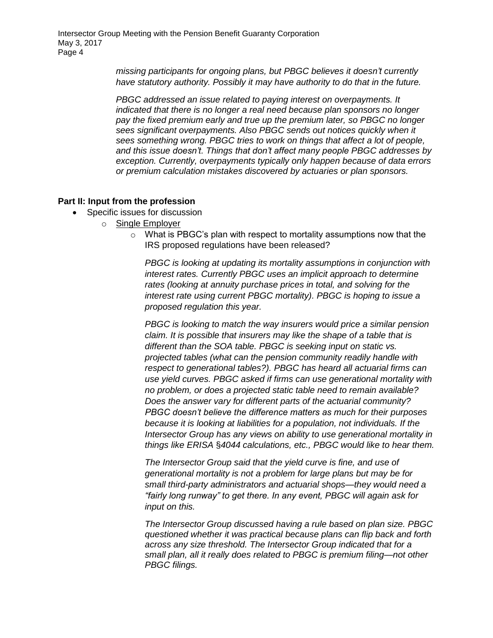*missing participants for ongoing plans, but PBGC believes it doesn't currently have statutory authority. Possibly it may have authority to do that in the future.* 

*PBGC addressed an issue related to paying interest on overpayments. It indicated that there is no longer a real need because plan sponsors no longer pay the fixed premium early and true up the premium later, so PBGC no longer sees significant overpayments. Also PBGC sends out notices quickly when it sees something wrong. PBGC tries to work on things that affect a lot of people, and this issue doesn't. Things that don't affect many people PBGC addresses by exception. Currently, overpayments typically only happen because of data errors or premium calculation mistakes discovered by actuaries or plan sponsors.*

#### **Part II: Input from the profession**

- Specific issues for discussion
	- o Single Employer
		- o What is PBGC's plan with respect to mortality assumptions now that the IRS proposed regulations have been released?

*PBGC is looking at updating its mortality assumptions in conjunction with interest rates. Currently PBGC uses an implicit approach to determine rates (looking at annuity purchase prices in total, and solving for the interest rate using current PBGC mortality). PBGC is hoping to issue a proposed regulation this year.* 

*PBGC is looking to match the way insurers would price a similar pension claim. It is possible that insurers may like the shape of a table that is different than the SOA table. PBGC is seeking input on static vs. projected tables (what can the pension community readily handle with respect to generational tables?). PBGC has heard all actuarial firms can use yield curves. PBGC asked if firms can use generational mortality with no problem, or does a projected static table need to remain available? Does the answer vary for different parts of the actuarial community? PBGC doesn't believe the difference matters as much for their purposes because it is looking at liabilities for a population, not individuals. If the Intersector Group has any views on ability to use generational mortality in things like ERISA* §*4044 calculations, etc., PBGC would like to hear them.*

*The Intersector Group said that the yield curve is fine, and use of generational mortality is not a problem for large plans but may be for small third-party administrators and actuarial shops—they would need a "fairly long runway" to get there. In any event, PBGC will again ask for input on this.* 

*The Intersector Group discussed having a rule based on plan size. PBGC questioned whether it was practical because plans can flip back and forth across any size threshold. The Intersector Group indicated that for a small plan, all it really does related to PBGC is premium filing—not other PBGC filings.*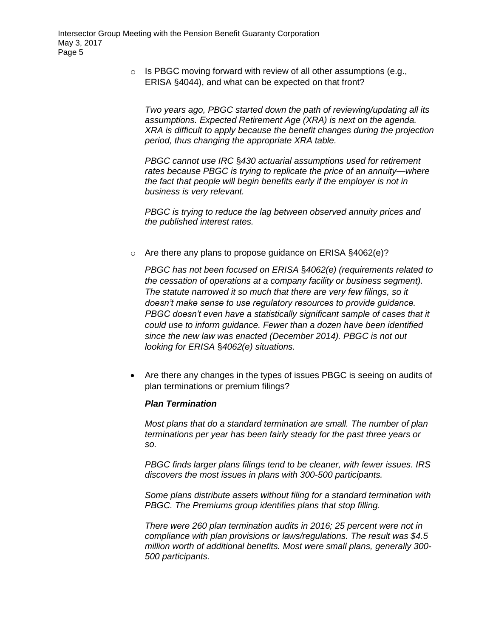o Is PBGC moving forward with review of all other assumptions (e.g., ERISA §4044), and what can be expected on that front?

*Two years ago, PBGC started down the path of reviewing/updating all its assumptions. Expected Retirement Age (XRA) is next on the agenda. XRA is difficult to apply because the benefit changes during the projection period, thus changing the appropriate XRA table.*

*PBGC cannot use IRC* §*430 actuarial assumptions used for retirement rates because PBGC is trying to replicate the price of an annuity—where the fact that people will begin benefits early if the employer is not in business is very relevant.*

*PBGC is trying to reduce the lag between observed annuity prices and the published interest rates.*

o Are there any plans to propose guidance on ERISA §4062(e)?

*PBGC has not been focused on ERISA* §*4062(e) (requirements related to the cessation of operations at a company facility or business segment). The statute narrowed it so much that there are very few filings, so it doesn't make sense to use regulatory resources to provide guidance. PBGC doesn't even have a statistically significant sample of cases that it could use to inform guidance. Fewer than a dozen have been identified since the new law was enacted (December 2014). PBGC is not out looking for ERISA* §*4062(e) situations.* 

 Are there any changes in the types of issues PBGC is seeing on audits of plan terminations or premium filings?

#### *Plan Termination*

*Most plans that do a standard termination are small. The number of plan terminations per year has been fairly steady for the past three years or so.*

*PBGC finds larger plans filings tend to be cleaner, with fewer issues. IRS discovers the most issues in plans with 300-500 participants.* 

*Some plans distribute assets without filing for a standard termination with PBGC. The Premiums group identifies plans that stop filling.*

*There were 260 plan termination audits in 2016; 25 percent were not in compliance with plan provisions or laws/regulations. The result was \$4.5 million worth of additional benefits. Most were small plans, generally 300- 500 participants.*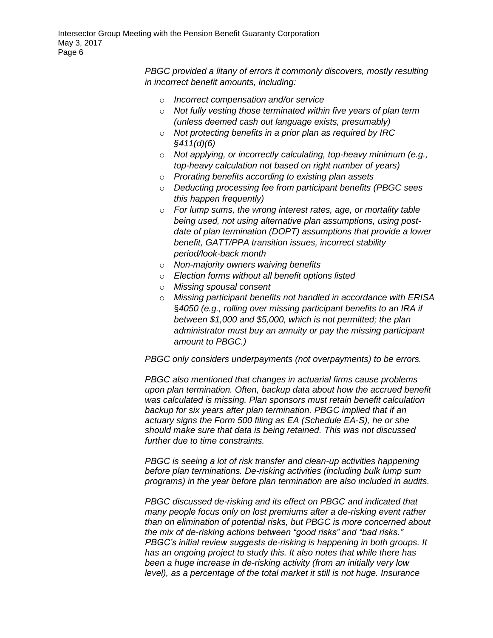*PBGC provided a litany of errors it commonly discovers, mostly resulting in incorrect benefit amounts, including:*

- o *Incorrect compensation and/or service*
- o *Not fully vesting those terminated within five years of plan term (unless deemed cash out language exists, presumably)*
- o *Not protecting benefits in a prior plan as required by IRC §411(d)(6)*
- o *Not applying, or incorrectly calculating, top-heavy minimum (e.g., top-heavy calculation not based on right number of years)*
- o *Prorating benefits according to existing plan assets*
- o *Deducting processing fee from participant benefits (PBGC sees this happen frequently)*
- o *For lump sums, the wrong interest rates, age, or mortality table being used, not using alternative plan assumptions, using postdate of plan termination (DOPT) assumptions that provide a lower benefit, GATT/PPA transition issues, incorrect stability period/look-back month*
- o *Non-majority owners waiving benefits*
- o *Election forms without all benefit options listed*
- o *Missing spousal consent*
- o *Missing participant benefits not handled in accordance with ERISA*  §*4050 (e.g., rolling over missing participant benefits to an IRA if between \$1,000 and \$5,000, which is not permitted; the plan administrator must buy an annuity or pay the missing participant amount to PBGC.)*

*PBGC only considers underpayments (not overpayments) to be errors.*

*PBGC also mentioned that changes in actuarial firms cause problems upon plan termination. Often, backup data about how the accrued benefit was calculated is missing. Plan sponsors must retain benefit calculation backup for six years after plan termination. PBGC implied that if an actuary signs the Form 500 filing as EA (Schedule EA-S), he or she should make sure that data is being retained. This was not discussed further due to time constraints.*

*PBGC is seeing a lot of risk transfer and clean-up activities happening before plan terminations. De-risking activities (including bulk lump sum programs) in the year before plan termination are also included in audits.*

*PBGC discussed de-risking and its effect on PBGC and indicated that many people focus only on lost premiums after a de-risking event rather than on elimination of potential risks, but PBGC is more concerned about the mix of de-risking actions between "good risks" and "bad risks." PBGC's initial review suggests de-risking is happening in both groups. It has an ongoing project to study this. It also notes that while there has been a huge increase in de-risking activity (from an initially very low level), as a percentage of the total market it still is not huge. Insurance*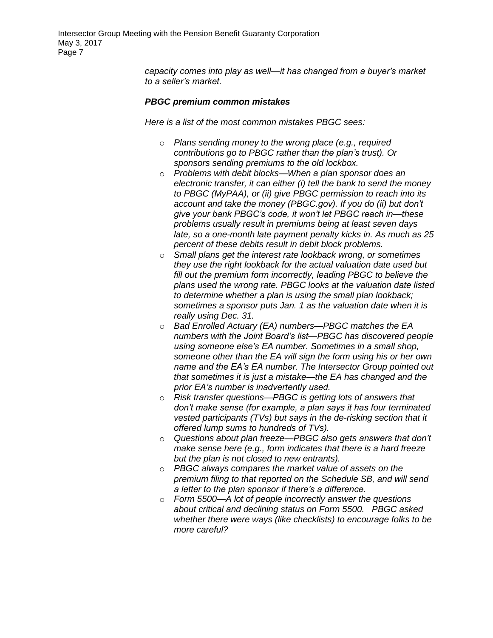Intersector Group Meeting with the Pension Benefit Guaranty Corporation May 3, 2017 Page 7

> *capacity comes into play as well—it has changed from a buyer's market to a seller's market.*

#### *PBGC premium common mistakes*

*Here is a list of the most common mistakes PBGC sees:*

- o *Plans sending money to the wrong place (e.g., required contributions go to PBGC rather than the plan's trust). Or sponsors sending premiums to the old lockbox.*
- o *Problems with debit blocks—When a plan sponsor does an electronic transfer, it can either (i) tell the bank to send the money to PBGC (MyPAA), or (ii) give PBGC permission to reach into its account and take the money (PBGC.gov). If you do (ii) but don't give your bank PBGC's code, it won't let PBGC reach in—these problems usually result in premiums being at least seven days late, so a one-month late payment penalty kicks in. As much as 25 percent of these debits result in debit block problems.*
- o *Small plans get the interest rate lookback wrong, or sometimes they use the right lookback for the actual valuation date used but fill out the premium form incorrectly, leading PBGC to believe the plans used the wrong rate. PBGC looks at the valuation date listed to determine whether a plan is using the small plan lookback; sometimes a sponsor puts Jan. 1 as the valuation date when it is really using Dec. 31.*
- o *Bad Enrolled Actuary (EA) numbers—PBGC matches the EA numbers with the Joint Board's list—PBGC has discovered people using someone else's EA number. Sometimes in a small shop, someone other than the EA will sign the form using his or her own name and the EA's EA number. The Intersector Group pointed out that sometimes it is just a mistake—the EA has changed and the prior EA's number is inadvertently used.*
- o *Risk transfer questions—PBGC is getting lots of answers that don't make sense (for example, a plan says it has four terminated vested participants (TVs) but says in the de-risking section that it offered lump sums to hundreds of TVs).*
- o *Questions about plan freeze—PBGC also gets answers that don't make sense here (e.g., form indicates that there is a hard freeze but the plan is not closed to new entrants).*
- o *PBGC always compares the market value of assets on the premium filing to that reported on the Schedule SB, and will send a letter to the plan sponsor if there's a difference.*
- o *Form 5500—A lot of people incorrectly answer the questions about critical and declining status on Form 5500. PBGC asked whether there were ways (like checklists) to encourage folks to be more careful?*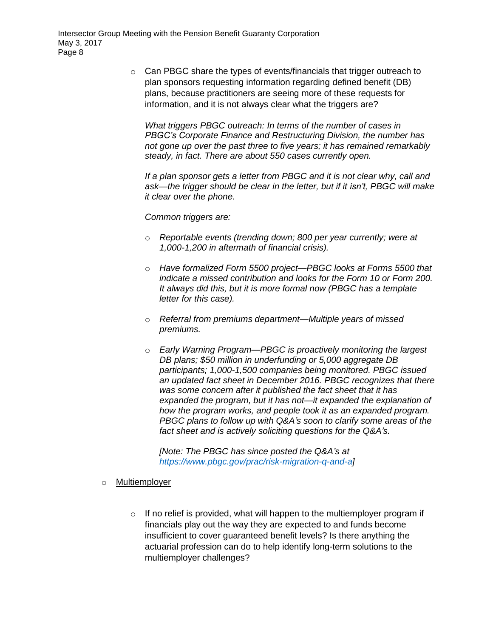o Can PBGC share the types of events/financials that trigger outreach to plan sponsors requesting information regarding defined benefit (DB) plans, because practitioners are seeing more of these requests for information, and it is not always clear what the triggers are?

*What triggers PBGC outreach: In terms of the number of cases in PBGC's Corporate Finance and Restructuring Division, the number has not gone up over the past three to five years; it has remained remarkably steady, in fact. There are about 550 cases currently open.*

*If a plan sponsor gets a letter from PBGC and it is not clear why, call and ask—the trigger should be clear in the letter, but if it isn't, PBGC will make it clear over the phone.* 

*Common triggers are:*

- o *Reportable events (trending down; 800 per year currently; were at 1,000-1,200 in aftermath of financial crisis).*
- o *Have formalized Form 5500 project—PBGC looks at Forms 5500 that indicate a missed contribution and looks for the Form 10 or Form 200. It always did this, but it is more formal now (PBGC has a template letter for this case).*
- o *Referral from premiums department—Multiple years of missed premiums.*
- o *Early Warning Program—PBGC is proactively monitoring the largest DB plans; \$50 million in underfunding or 5,000 aggregate DB participants; 1,000-1,500 companies being monitored. PBGC issued an updated fact sheet in December 2016. PBGC recognizes that there was some concern after it published the fact sheet that it has expanded the program, but it has not—it expanded the explanation of how the program works, and people took it as an expanded program. PBGC plans to follow up with Q&A's soon to clarify some areas of the fact sheet and is actively soliciting questions for the Q&A's.*

*[Note: The PBGC has since posted the Q&A's at [https://www.pbgc.gov/prac/risk-migration-q-and-a\]](https://www.pbgc.gov/prac/risk-migration-q-and-a)*

- o Multiemployer
	- $\circ$  If no relief is provided, what will happen to the multiemployer program if financials play out the way they are expected to and funds become insufficient to cover guaranteed benefit levels? Is there anything the actuarial profession can do to help identify long-term solutions to the multiemployer challenges?